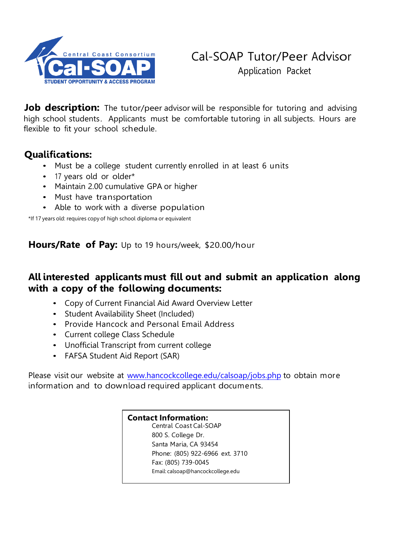

**Job description:** The tutor/peer advisor will be responsible for tutoring and advising high school students. Applicants must be comfortable tutoring in all subjects. Hours are flexible to fit your school schedule.

## **Qualifications:**

- Must be a college student currently enrolled in at least 6 units
- <sup>17</sup> years old or older\*
- Maintain 2.00 cumulative GPA or higher
- Must have transportation
- Able to work with a diverse population

\*If 17 years old: requires copy of high school diploma or equivalent

**Hours/Rate of Pay:** Up to 19 hours/week, \$20.00/hour

## **All interested applicants must fill out and submit an application along with a copy of the following documents:**

- Copy of Current Financial Aid Award Overview Letter
- Student Availability Sheet (Included)
- Provide Hancock and Personal Email Address
- Current college Class Schedule
- Unofficial Transcript from current college
- FAFSA Student Aid Report (SAR)

Please visit our website at [www.hancockcollege.edu/calsoap/jobs.php](https://www.hancockcollege.edu/calsoap/jobs.php) to obtain more information and to download required applicant documents.

## **Contact Information:**

Central Coast Cal-SOAP 800 S. College Dr. Santa Maria, CA 93454 Phone: (805) 922-6966 ext. 3710 Fax: (805) 739-0045 Email: [calsoap@hancockcollege.edu](mailto:nsuniga@hancockcollege.edu)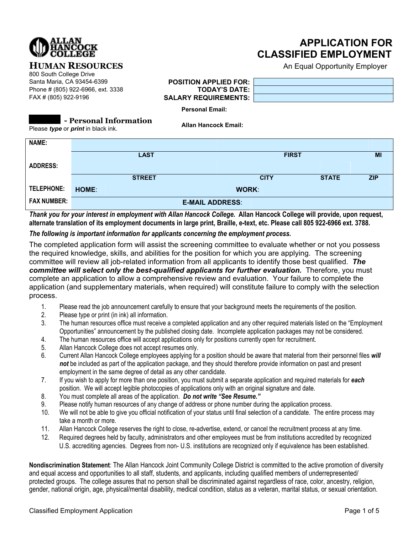

## **APPLICATION FOR CLASSIFIED EMPLOYMENT**

**HUMAN RESOURCES** An Equal Opportunity Employer

# 800 South College Drive

Santa Maria, CA 93454-6399 **POSITION APPLIED FOR:** Phone # (805) 922-6966, ext. 3338 **TODAY'S DATE:** FAX # (805) 922-9196 **SALARY REQUIREMENTS:**

| э.<br>٦. |  |
|----------|--|
| Ξ:       |  |
| ∼<br>    |  |

**Personal Email:** 

**- Personal Information** Please *type* or *print* in black ink.

**Allan Hancock Email:**

| NAME:              |                        |              |              |              |            |  |
|--------------------|------------------------|--------------|--------------|--------------|------------|--|
|                    |                        |              |              |              |            |  |
|                    | <b>LAST</b>            |              | <b>FIRST</b> |              | MI         |  |
| <b>ADDRESS:</b>    |                        |              |              |              |            |  |
|                    | <b>STREET</b>          |              | <b>CITY</b>  | <b>STATE</b> | <b>ZIP</b> |  |
| <b>TELEPHONE:</b>  | HOME:                  | <b>WORK:</b> |              |              |            |  |
| <b>FAX NUMBER:</b> | <b>E-MAIL ADDRESS:</b> |              |              |              |            |  |

*Thank you for your interest in employment with Allan Hancock College.* **Allan Hancock College will provide, upon request, alternate translation of its employment documents in large print, Braille, e-text, etc. Please call 805 922-6966 ext. 3788.** 

#### *The following is important information for applicants concerning the employment process.*

The completed application form will assist the screening committee to evaluate whether or not you possess the required knowledge, skills, and abilities for the position for which you are applying. The screening committee will review all job-related information from all applicants to identify those best qualified. *The committee will select only the best-qualified applicants for further evaluation.* Therefore, you must complete an application to allow a comprehensive review and evaluation. Your failure to complete the application (and supplementary materials, when required) will constitute failure to comply with the selection process.

- 1. Please read the job announcement carefully to ensure that your background meets the requirements of the position.
- 2. Please type or print (in ink) all information.
- 3. The human resources office must receive a completed application and any other required materials listed on the "Employment Opportunities" announcement by the published closing date. Incomplete application packages may not be considered.
- 4. The human resources office will accept applications only for positions currently open for recruitment.
- 5. Allan Hancock College does not accept resumes only.
- 6. Current Allan Hancock College employees applying for a position should be aware that material from their personnel files *will not* be included as part of the application package, and they should therefore provide information on past and present employment in the same degree of detail as any other candidate.
- 7. If you wish to apply for more than one position, you must submit a separate application and required materials for *each* position. We will accept legible photocopies of applications only with an original signature and date.
- 8. You must complete all areas of the application. *Do not write "See Resume."*
- 9. Please notify human resources of any change of address or phone number during the application process.
- 10. We will not be able to give you official notification of your status until final selection of a candidate. The entire process may take a month or more.
- 11. Allan Hancock College reserves the right to close, re-advertise, extend, or cancel the recruitment process at any time.
- 12. Required degrees held by faculty, administrators and other employees must be from institutions accredited by recognized U.S. accrediting agencies. Degrees from non- U.S. institutions are recognized only if equivalence has been established.

**Nondiscrimination Statement**: The Allan Hancock Joint Community College District is committed to the active promotion of diversity and equal access and opportunities to all staff, students, and applicants, including qualified members of underrepresented/ protected groups. The college assures that no person shall be discriminated against regardless of race, color, ancestry, religion, gender, national origin, age, physical/mental disability, medical condition, status as a veteran, marital status, or sexual orientation.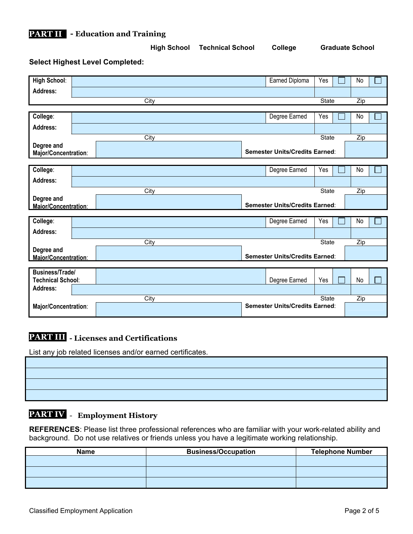

| <b>Select Highest Level Completed:</b>             |      |                                       |              |     |
|----------------------------------------------------|------|---------------------------------------|--------------|-----|
| <b>High School:</b>                                |      | Earned Diploma                        | Yes          | No  |
| <b>Address:</b>                                    |      |                                       |              |     |
|                                                    | City |                                       | <b>State</b> | Zip |
|                                                    |      |                                       |              |     |
| College:                                           |      | Degree Earned                         | Yes          | No  |
| Address:                                           |      |                                       |              |     |
|                                                    | City |                                       | <b>State</b> | Zip |
| Degree and<br>Major/Concentration:                 |      | <b>Semester Units/Credits Earned:</b> |              |     |
|                                                    |      |                                       |              |     |
| College:                                           |      | Degree Earned                         | Yes          | No  |
| Address:                                           |      |                                       |              |     |
|                                                    | City |                                       | <b>State</b> | Zip |
| Degree and<br>Maior/Concentration:                 |      | <b>Semester Units/Credits Earned:</b> |              |     |
|                                                    |      |                                       |              |     |
| College:                                           |      | Degree Earned                         | Yes          | No  |
| Address:                                           |      |                                       |              |     |
|                                                    | City |                                       | State        | Zip |
| Degree and<br>Maior/Concentration:                 |      | <b>Semester Units/Credits Earned:</b> |              |     |
|                                                    |      |                                       |              |     |
| <b>Business/Trade/</b><br><b>Technical School:</b> |      | Degree Earned                         | Yes          | No  |
| <b>Address:</b>                                    |      |                                       |              |     |
|                                                    | City |                                       | <b>State</b> | Zip |
| Major/Concentration:                               |      | <b>Semester Units/Credits Earned:</b> |              |     |

**High School Technical School College Graduate School** 

#### **- Licenses and Certifications PART III**

List any job related licenses and/or earned certificates.

#### - **Employment History PART IV**

**REFERENCES**: Please list three professional references who are familiar with your work-related ability and background. Do not use relatives or friends unless you have a legitimate working relationship.

| <b>Name</b> | <b>Business/Occupation</b> | <b>Telephone Number</b> |  |  |
|-------------|----------------------------|-------------------------|--|--|
|             |                            |                         |  |  |
|             |                            |                         |  |  |
|             |                            |                         |  |  |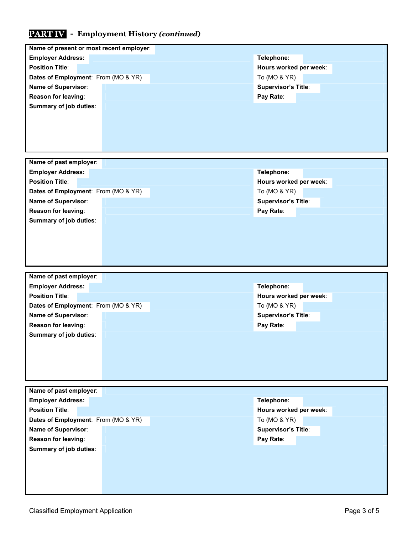## **- Employment History** *(continued)* **PART IV**

| Name of present or most recent employer:           |                            |  |  |
|----------------------------------------------------|----------------------------|--|--|
| <b>Employer Address:</b>                           | Telephone:                 |  |  |
| <b>Position Title:</b>                             | Hours worked per week:     |  |  |
| Dates of Employment: From (MO & YR)                | To (MO & YR)               |  |  |
| Name of Supervisor:                                | <b>Supervisor's Title:</b> |  |  |
| Reason for leaving:                                | Pay Rate:                  |  |  |
| Summary of job duties:                             |                            |  |  |
|                                                    |                            |  |  |
|                                                    |                            |  |  |
|                                                    |                            |  |  |
|                                                    |                            |  |  |
| Name of past employer:                             |                            |  |  |
|                                                    |                            |  |  |
| <b>Employer Address:</b><br><b>Position Title:</b> | Telephone:                 |  |  |
|                                                    | Hours worked per week:     |  |  |
| Dates of Employment: From (MO & YR)                | To (MO & YR)               |  |  |
| Name of Supervisor:                                | Supervisor's Title:        |  |  |
| Reason for leaving:                                | Pay Rate:                  |  |  |
| Summary of job duties:                             |                            |  |  |
|                                                    |                            |  |  |
|                                                    |                            |  |  |
|                                                    |                            |  |  |
|                                                    |                            |  |  |
| Name of past employer:                             |                            |  |  |
| <b>Employer Address:</b>                           | Telephone:                 |  |  |
| <b>Position Title:</b>                             | Hours worked per week:     |  |  |
| Dates of Employment: From (MO & YR)                | To (MO & YR)               |  |  |
| Name of Supervisor:                                | <b>Supervisor's Title:</b> |  |  |
| Reason for leaving:                                | Pay Rate:                  |  |  |
| Summary of job duties:                             |                            |  |  |
|                                                    |                            |  |  |
|                                                    |                            |  |  |
|                                                    |                            |  |  |
|                                                    |                            |  |  |
|                                                    |                            |  |  |
| Name of past employer:                             |                            |  |  |
| <b>Employer Address:</b>                           | Telephone:                 |  |  |
| <b>Position Title:</b>                             | Hours worked per week:     |  |  |
| Dates of Employment: From (MO & YR)                | To (MO & YR)               |  |  |
| Name of Supervisor:                                | <b>Supervisor's Title:</b> |  |  |
| Reason for leaving:                                | Pay Rate:                  |  |  |
| Summary of job duties:                             |                            |  |  |
|                                                    |                            |  |  |
|                                                    |                            |  |  |
|                                                    |                            |  |  |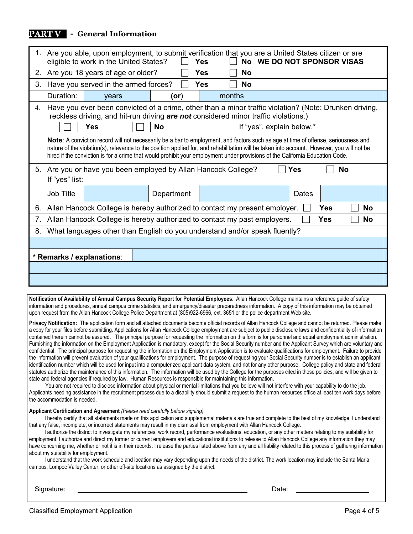#### **- General Information PART V**

|                           | 1. Are you able, upon employment, to submit verification that you are a United States citizen or are<br>eligible to work in the United States?<br>No WE DO NOT SPONSOR VISAS<br><b>Yes</b> |                                                                                                                                                                                                                                                                                                                                                                                                                   |           |            |  |        |                           |       |     |           |
|---------------------------|--------------------------------------------------------------------------------------------------------------------------------------------------------------------------------------------|-------------------------------------------------------------------------------------------------------------------------------------------------------------------------------------------------------------------------------------------------------------------------------------------------------------------------------------------------------------------------------------------------------------------|-----------|------------|--|--------|---------------------------|-------|-----|-----------|
| 2.                        | Are you 18 years of age or older?<br>Yes<br><b>No</b>                                                                                                                                      |                                                                                                                                                                                                                                                                                                                                                                                                                   |           |            |  |        |                           |       |     |           |
| 3.                        | Have you served in the armed forces?<br><b>Yes</b><br>No                                                                                                                                   |                                                                                                                                                                                                                                                                                                                                                                                                                   |           |            |  |        |                           |       |     |           |
|                           | Duration:                                                                                                                                                                                  | years                                                                                                                                                                                                                                                                                                                                                                                                             |           | (or)       |  | months |                           |       |     |           |
| $4_{\cdot}$               |                                                                                                                                                                                            | Have you ever been convicted of a crime, other than a minor traffic violation? (Note: Drunken driving,<br>reckless driving, and hit-run driving are not considered minor traffic violations.)                                                                                                                                                                                                                     |           |            |  |        |                           |       |     |           |
|                           |                                                                                                                                                                                            | <b>Yes</b>                                                                                                                                                                                                                                                                                                                                                                                                        | <b>No</b> |            |  |        | If "yes", explain below.* |       |     |           |
|                           |                                                                                                                                                                                            | Note: A conviction record will not necessarily be a bar to employment, and factors such as age at time of offense, seriousness and<br>nature of the violation(s), relevance to the position applied for, and rehabilitation will be taken into account. However, you will not be<br>hired if the conviction is for a crime that would prohibit your employment under provisions of the California Education Code. |           |            |  |        |                           |       |     |           |
|                           | If "yes" list:                                                                                                                                                                             | 5. Are you or have you been employed by Allan Hancock College?                                                                                                                                                                                                                                                                                                                                                    |           |            |  |        |                           | Yes   |     | No        |
|                           | Job Title                                                                                                                                                                                  |                                                                                                                                                                                                                                                                                                                                                                                                                   |           | Department |  |        |                           | Dates |     |           |
| 6.                        |                                                                                                                                                                                            | Allan Hancock College is hereby authorized to contact my present employer.                                                                                                                                                                                                                                                                                                                                        |           |            |  |        |                           |       | Yes | <b>No</b> |
| 7.                        |                                                                                                                                                                                            | Allan Hancock College is hereby authorized to contact my past employers.                                                                                                                                                                                                                                                                                                                                          |           |            |  |        |                           |       | Yes | <b>No</b> |
| 8.                        | What languages other than English do you understand and/or speak fluently?                                                                                                                 |                                                                                                                                                                                                                                                                                                                                                                                                                   |           |            |  |        |                           |       |     |           |
|                           |                                                                                                                                                                                            |                                                                                                                                                                                                                                                                                                                                                                                                                   |           |            |  |        |                           |       |     |           |
| * Remarks / explanations: |                                                                                                                                                                                            |                                                                                                                                                                                                                                                                                                                                                                                                                   |           |            |  |        |                           |       |     |           |
|                           |                                                                                                                                                                                            |                                                                                                                                                                                                                                                                                                                                                                                                                   |           |            |  |        |                           |       |     |           |
|                           |                                                                                                                                                                                            |                                                                                                                                                                                                                                                                                                                                                                                                                   |           |            |  |        |                           |       |     |           |
|                           |                                                                                                                                                                                            |                                                                                                                                                                                                                                                                                                                                                                                                                   |           |            |  |        |                           |       |     |           |

**Notification of Availability of Annual Campus Security Report for Potential Employees**: Allan Hancock College maintains a reference guide of safety information and procedures, annual campus crime statistics, and emergency/disaster preparedness information. A copy of this information may be obtained upon request from the Allan Hancock College Police Department at (805)922-6966, ext. 3651 or the police department Web site**.** 

**Privacy Notification:** The application form and all attached documents become official records of Allan Hancock College and cannot be returned. Please make a copy for your files before submitting. Applications for Allan Hancock College employment are subject to public disclosure laws and confidentiality of information contained therein cannot be assured. The principal purpose for requesting the information on this form is for personnel and equal employment administration. Furnishing the information on the Employment Application is mandatory, except for the Social Security number and the Applicant Survey which are voluntary and confidential. The principal purpose for requesting the information on the Employment Application is to evaluate qualifications for employment. Failure to provide the information will prevent evaluation of your qualifications for employment. The purpose of requesting your Social Security number is to establish an applicant identification number which will be used for input into a computerized applicant data system, and not for any other purpose. College policy and state and federal statutes authorize the maintenance of this information. The information will be used by the College for the purposes cited in those policies, and will be given to state and federal agencies if required by law. Human Resources is responsible for maintaining this information.

You are not required to disclose information about physical or mental limitations that you believe will not interfere with your capability to do the job. Applicants needing assistance in the recruitment process due to a disability should submit a request to the human resources office at least ten work days before the accommodation is needed.

**Applicant Certification and Agreement** *(Please read carefully before signing)*

I hereby certify that all statements made on this application and supplemental materials are true and complete to the best of my knowledge. I understand that any false, incomplete, or incorrect statements may result in my dismissal from employment with Allan Hancock College.

I authorize the district to investigate my references, work record, performance evaluations, education, or any other matters relating to my suitability for employment. I authorize and direct my former or current employers and educational institutions to release to Allan Hancock College any information they may have concerning me, whether or not it is in their records. I release the parties listed above from any and all liability related to this process of gathering information about my suitability for employment.

I understand that the work schedule and location may vary depending upon the needs of the district. The work location may include the Santa Maria campus, Lompoc Valley Center, or other off-site locations as assigned by the district.

Signature: Date: Designature: Date: Date: Date: Date: Date: Date: Date: Date: Date: Date: Date: Date: Date: Date: Date: Date: Date: Date: Date: Date: Date: Date: Date: Date: Date: Date: Date: Date: Date: Date: Date: Date: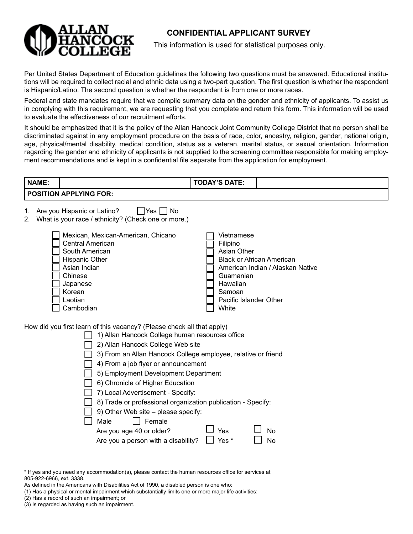

## **CONFIDENTIAL APPLICANT SURVEY**

This information is used for statistical purposes only.

Per United States Department of Education guidelines the following two questions must be answered. Educational institutions will be required to collect racial and ethnic data using a two-part question. The first question is whether the respondent is Hispanic/Latino. The second question is whether the respondent is from one or more races.

Federal and state mandates require that we compile summary data on the gender and ethnicity of applicants. To assist us in complying with this requirement, we are requesting that you complete and return this form. This information will be used to evaluate the effectiveness of our recruitment efforts.

It should be emphasized that it is the policy of the Allan Hancock Joint Community College District that no person shall be discriminated against in any employment procedure on the basis of race, color, ancestry, religion, gender, national origin, age, physical/mental disability, medical condition, status as a veteran, marital status, or sexual orientation. Information regarding the gender and ethnicity of applicants is not supplied to the screening committee responsible for making employment recommendations and is kept in a confidential file separate from the application for employment.

| <b>NAME:</b> |                                                                                                                                                                     |                                                                                                                                                                                                                                                                                                                                                                                                                                                                                                                                                                                                                                                                                               | <b>TODAY'S DATE:</b>                                                                                                               |                                                                                                |
|--------------|---------------------------------------------------------------------------------------------------------------------------------------------------------------------|-----------------------------------------------------------------------------------------------------------------------------------------------------------------------------------------------------------------------------------------------------------------------------------------------------------------------------------------------------------------------------------------------------------------------------------------------------------------------------------------------------------------------------------------------------------------------------------------------------------------------------------------------------------------------------------------------|------------------------------------------------------------------------------------------------------------------------------------|------------------------------------------------------------------------------------------------|
|              | <b>POSITION APPLYING FOR:</b>                                                                                                                                       |                                                                                                                                                                                                                                                                                                                                                                                                                                                                                                                                                                                                                                                                                               |                                                                                                                                    |                                                                                                |
| 1.<br>2.     | Are you Hispanic or Latino?<br><b>Central American</b><br>South American<br>Hispanic Other<br>Asian Indian<br>Chinese<br>Japanese<br>Korean<br>Laotian<br>Cambodian | □Yes □ No<br>What is your race / ethnicity? (Check one or more.)<br>Mexican, Mexican-American, Chicano<br>How did you first learn of this vacancy? (Please check all that apply)<br>1) Allan Hancock College human resources office<br>2) Allan Hancock College Web site<br>3) From an Allan Hancock College employee, relative or friend<br>4) From a job flyer or announcement<br>5) Employment Development Department<br>6) Chronicle of Higher Education<br>7) Local Advertisement - Specify:<br>8) Trade or professional organization publication - Specify:<br>9) Other Web site - please specify:<br>Male<br>Female<br>Are you age 40 or older?<br>Are you a person with a disability? | Vietnamese<br>Filipino<br>Asian Other<br>Guamanian<br>Hawaiian<br>Samoan<br>Pacific Islander Other<br>White<br><b>Yes</b><br>Yes * | <b>Black or African American</b><br>American Indian / Alaskan Native<br><b>No</b><br><b>No</b> |

\* If yes and you need any accommodation(s), please contact the human resources office for services at 805-922-6966, ext. 3338.

As defined in the Americans with Disabilities Act of 1990, a disabled person is one who:

(1) Has a physical or mental impairment which substantially limits one or more major life activities;

(2) Has a record of such an impairment; or

(3) Is regarded as having such an impairment.